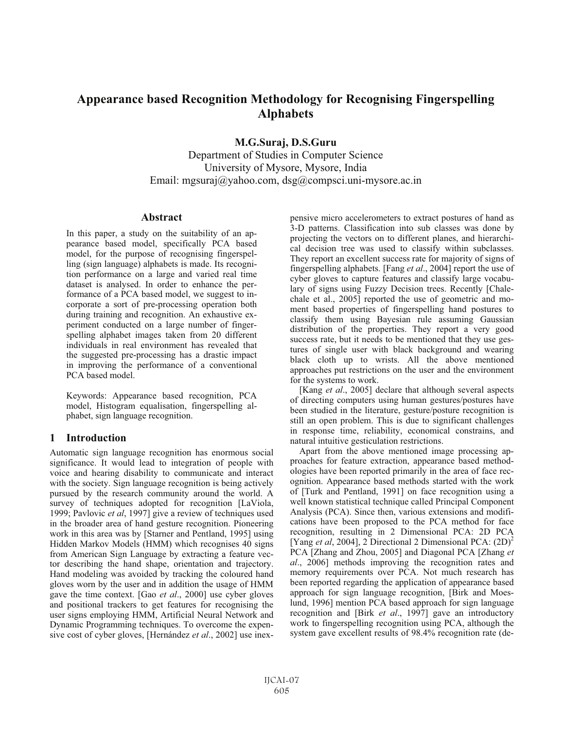# **Appearance based Recognition Methodology for Recognising Fingerspelling Alphabets**

**M.G.Suraj, D.S.Guru**

Department of Studies in Computer Science University of Mysore, Mysore, India Email: mgsuraj@yahoo.com, dsg@compsci.uni-mysore.ac.in

### **Abstract**

In this paper, a study on the suitability of an appearance based model, specifically PCA based model, for the purpose of recognising fingerspelling (sign language) alphabets is made. Its recognition performance on a large and varied real time dataset is analysed. In order to enhance the performance of a PCA based model, we suggest to incorporate a sort of pre-processing operation both during training and recognition. An exhaustive experiment conducted on a large number of fingerspelling alphabet images taken from 20 different individuals in real environment has revealed that the suggested pre-processing has a drastic impact in improving the performance of a conventional PCA based model.

Keywords: Appearance based recognition, PCA model, Histogram equalisation, fingerspelling alphabet, sign language recognition.

# **1 Introduction**

Automatic sign language recognition has enormous social significance. It would lead to integration of people with voice and hearing disability to communicate and interact with the society. Sign language recognition is being actively pursued by the research community around the world. A survey of techniques adopted for recognition [LaViola, 1999; Pavlovic *et al*, 1997] give a review of techniques used in the broader area of hand gesture recognition. Pioneering work in this area was by [Starner and Pentland, 1995] using Hidden Markov Models (HMM) which recognises 40 signs from American Sign Language by extracting a feature vector describing the hand shape, orientation and trajectory. Hand modeling was avoided by tracking the coloured hand gloves worn by the user and in addition the usage of HMM gave the time context. [Gao *et al*., 2000] use cyber gloves and positional trackers to get features for recognising the user signs employing HMM, Artificial Neural Network and Dynamic Programming techniques. To overcome the expensive cost of cyber gloves, [Hernández *et al*., 2002] use inexpensive micro accelerometers to extract postures of hand as 3-D patterns. Classification into sub classes was done by projecting the vectors on to different planes, and hierarchical decision tree was used to classify within subclasses. They report an excellent success rate for majority of signs of fingerspelling alphabets. [Fang *et al*., 2004] report the use of cyber gloves to capture features and classify large vocabulary of signs using Fuzzy Decision trees. Recently [Chalechale et al., 2005] reported the use of geometric and moment based properties of fingerspelling hand postures to classify them using Bayesian rule assuming Gaussian distribution of the properties. They report a very good success rate, but it needs to be mentioned that they use gestures of single user with black background and wearing black cloth up to wrists. All the above mentioned approaches put restrictions on the user and the environment for the systems to work.

[Kang *et al*., 2005] declare that although several aspects of directing computers using human gestures/postures have been studied in the literature, gesture/posture recognition is still an open problem. This is due to significant challenges in response time, reliability, economical constrains, and natural intuitive gesticulation restrictions.

Apart from the above mentioned image processing approaches for feature extraction, appearance based methodologies have been reported primarily in the area of face recognition. Appearance based methods started with the work of [Turk and Pentland, 1991] on face recognition using a well known statistical technique called Principal Component Analysis (PCA). Since then, various extensions and modifications have been proposed to the PCA method for face recognition, resulting in 2 Dimensional PCA: 2D PCA [Yang *et al*, 2004], 2 Directional 2 Dimensional PCA:  $(2D)^2$ PCA [Zhang and Zhou, 2005] and Diagonal PCA [Zhang *et al*., 2006] methods improving the recognition rates and memory requirements over PCA. Not much research has been reported regarding the application of appearance based approach for sign language recognition, [Birk and Moeslund, 1996] mention PCA based approach for sign language recognition and [Birk *et al*., 1997] gave an introductory work to fingerspelling recognition using PCA, although the system gave excellent results of 98.4% recognition rate (de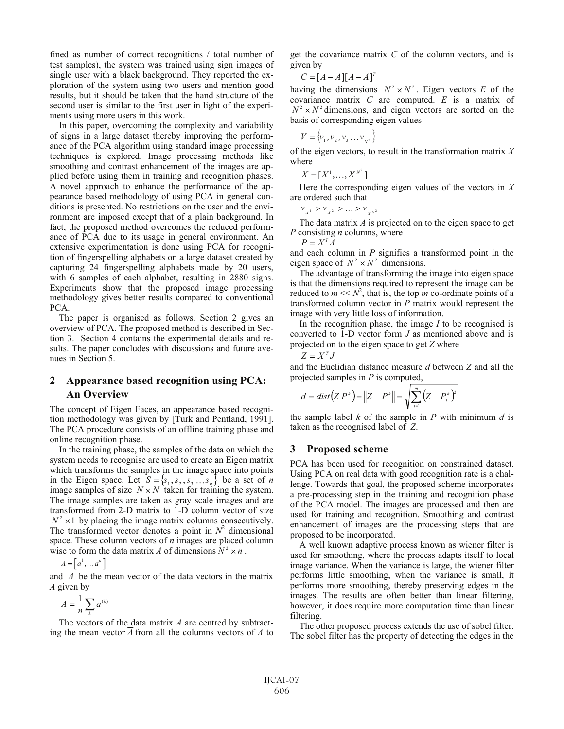fined as number of correct recognitions / total number of test samples), the system was trained using sign images of single user with a black background. They reported the exploration of the system using two users and mention good results, but it should be taken that the hand structure of the second user is similar to the first user in light of the experiments using more users in this work.

In this paper, overcoming the complexity and variability of signs in a large dataset thereby improving the performance of the PCA algorithm using standard image processing techniques is explored. Image processing methods like smoothing and contrast enhancement of the images are applied before using them in training and recognition phases. A novel approach to enhance the performance of the appearance based methodology of using PCA in general conditions is presented. No restrictions on the user and the environment are imposed except that of a plain background. In fact, the proposed method overcomes the reduced performance of PCA due to its usage in general environment. An extensive experimentation is done using PCA for recognition of fingerspelling alphabets on a large dataset created by capturing 24 fingerspelling alphabets made by 20 users, with 6 samples of each alphabet, resulting in 2880 signs. Experiments show that the proposed image processing methodology gives better results compared to conventional PCA.

The paper is organised as follows. Section 2 gives an overview of PCA. The proposed method is described in Section 3. Section 4 contains the experimental details and results. The paper concludes with discussions and future avenues in Section 5.

# **2 Appearance based recognition using PCA: An Overview**

The concept of Eigen Faces, an appearance based recognition methodology was given by [Turk and Pentland, 1991]. The PCA procedure consists of an offline training phase and online recognition phase.

In the training phase, the samples of the data on which the system needs to recognise are used to create an Eigen matrix which transforms the samples in the image space into points in the Eigen space. Let  $S = \{s_1, s_2, s_3 \dots s_n\}$  be a set of *n* image samples of size  $N \times N$  taken for training the system. The image samples are taken as gray scale images and are transformed from 2-D matrix to 1-D column vector of size  $N^2 \times 1$  by placing the image matrix columns consecutively. The transformed vector denotes a point in  $N^2$  dimensional space. These column vectors of *n* images are placed column wise to form the data matrix *A* of dimensions  $N^2 \times n$ .

$$
A = \left[ a^1, \ldots a^n \right]
$$

and  $\overline{A}$  be the mean vector of the data vectors in the matrix *A* given by

$$
\overline{A} = \frac{1}{n} \sum_{k} a^{(k)}
$$

The vectors of the data matrix *A* are centred by subtracting the mean vector *A* from all the columns vectors of *A* to get the covariance matrix *C* of the column vectors, and is given by

$$
C = [A - \overline{A}][A - \overline{A}]^{T}
$$

having the dimensions  $N^2 \times N^2$ . Eigen vectors *E* of the covariance matrix *C* are computed. *E* is a matrix of  $N^2 \times N^2$  dimensions, and eigen vectors are sorted on the basis of corresponding eigen values

$$
V = \{v_1, v_2, v_3 \dots v_{N^2}\}
$$

of the eigen vectors, to result in the transformation matrix *X* where

$$
X=[X^1,\ldots,X^{N^2}]
$$

Here the corresponding eigen values of the vectors in *X* are ordered such that

 $v_{x^1} > v_{x^2} > ... > v_{x^{N^2}}$ 

The data matrix *A* is projected on to the eigen space to get *P* consisting *n* columns, where

 $P = X^T A$ 

and each column in *P* signifies a transformed point in the eigen space of  $N^2 \times N^2$  dimensions.

The advantage of transforming the image into eigen space is that the dimensions required to represent the image can be reduced to  $m \ll N^2$ , that is, the top  $\overline{m}$  co-ordinate points of a transformed column vector in *P* matrix would represent the image with very little loss of information.

In the recognition phase, the image *I* to be recognised is converted to 1-D vector form *J* as mentioned above and is projected on to the eigen space to get *Z* where

$$
Z = X^T J
$$

and the Euclidian distance measure *d* between *Z* and all the projected samples in *P* is computed,

$$
d = dist(Z P^{k}) = ||Z - P^{k}|| = \sqrt{\sum_{j=1}^{m} (Z - P_{j}^{k})^{2}}
$$

the sample label *k* of the sample in *P* with minimum *d* is taken as the recognised label of *Z*.

#### **3 Proposed scheme**

PCA has been used for recognition on constrained dataset. Using PCA on real data with good recognition rate is a challenge. Towards that goal, the proposed scheme incorporates a pre-processing step in the training and recognition phase of the PCA model. The images are processed and then are used for training and recognition. Smoothing and contrast enhancement of images are the processing steps that are proposed to be incorporated.

A well known adaptive process known as wiener filter is used for smoothing, where the process adapts itself to local image variance. When the variance is large, the wiener filter performs little smoothing, when the variance is small, it performs more smoothing, thereby preserving edges in the images. The results are often better than linear filtering, however, it does require more computation time than linear filtering.

The other proposed process extends the use of sobel filter. The sobel filter has the property of detecting the edges in the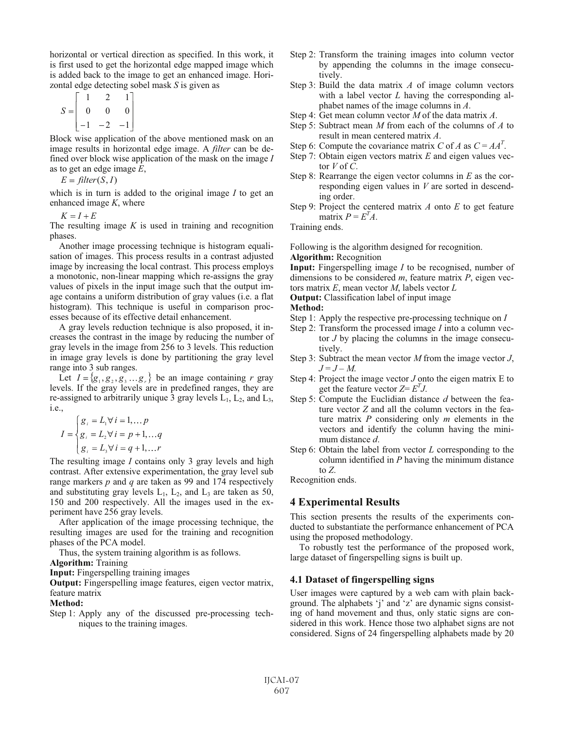horizontal or vertical direction as specified. In this work, it is first used to get the horizontal edge mapped image which is added back to the image to get an enhanced image. Horizontal edge detecting sobel mask *S* is given as

$$
S = \begin{bmatrix} 1 & 2 & 1 \\ 0 & 0 & 0 \\ -1 & -2 & -1 \end{bmatrix}
$$

Block wise application of the above mentioned mask on an image results in horizontal edge image. A *filter* can be defined over block wise application of the mask on the image *I* as to get an edge image *E*,

 $E = filter(S, I)$ 

which is in turn is added to the original image *I* to get an enhanced image *K*, where

 $K = I + E$ 

The resulting image *K* is used in training and recognition phases.

Another image processing technique is histogram equalisation of images. This process results in a contrast adjusted image by increasing the local contrast. This process employs a monotonic, non-linear mapping which re-assigns the gray values of pixels in the input image such that the output image contains a uniform distribution of gray values (i.e. a flat histogram). This technique is useful in comparison processes because of its effective detail enhancement.

A gray levels reduction technique is also proposed, it increases the contrast in the image by reducing the number of gray levels in the image from 256 to 3 levels. This reduction in image gray levels is done by partitioning the gray level range into 3 sub ranges.

Let  $I = \{g_1, g_2, g_3, \dots g_r\}$  be an image containing *r* gray levels. If the gray levels are in predefined ranges, they are re-assigned to arbitrarily unique 3 gray levels  $L_1$ ,  $L_2$ , and  $L_3$ , i.e.,

$$
I = \begin{cases} g_i = L_1 \forall i = 1, \dots p \\ g_i = L_2 \forall i = p+1, \dots q \\ g_i = L_3 \forall i = q+1, \dots r \end{cases}
$$

The resulting image *I* contains only 3 gray levels and high contrast. After extensive experimentation, the gray level sub range markers *p* and *q* are taken as 99 and 174 respectively and substituting gray levels  $L_1$ ,  $L_2$ , and  $L_3$  are taken as 50, 150 and 200 respectively. All the images used in the experiment have 256 gray levels.

After application of the image processing technique, the resulting images are used for the training and recognition phases of the PCA model.

Thus, the system training algorithm is as follows.

**Algorithm:** Training

**Input:** Fingerspelling training images

**Output:** Fingerspelling image features, eigen vector matrix, feature matrix

#### **Method:**

Step 1: Apply any of the discussed pre-processing techniques to the training images.

- Step 2: Transform the training images into column vector by appending the columns in the image consecutively.
- Step 3: Build the data matrix *A* of image column vectors with a label vector *L* having the corresponding alphabet names of the image columns in *A*.
- Step 4: Get mean column vector *M* of the data matrix *A*.
- Step 5: Subtract mean *M* from each of the columns of *A* to result in mean centered matrix *A*.
- Step 6: Compute the covariance matrix *C* of *A* as  $C = AA^T$ .
- Step 7: Obtain eigen vectors matrix *E* and eigen values vector  $V$  of  $\overline{C}$ .
- Step 8: Rearrange the eigen vector columns in *E* as the corresponding eigen values in *V* are sorted in descending order.
- Step 9: Project the centered matrix *A* onto *E* to get feature matrix  $P = E^{T} A$ .

Training ends.

Following is the algorithm designed for recognition.

**Algorithm:** Recognition

**Input:** Fingerspelling image *I* to be recognised, number of dimensions to be considered *m*, feature matrix *P*, eigen vectors matrix *E*, mean vector *M*, labels vector *L*

**Output:** Classification label of input image

**Method:** 

- Step 1: Apply the respective pre-processing technique on *I*
- Step 2: Transform the processed image *I* into a column vector *J* by placing the columns in the image consecutively.
- Step 3: Subtract the mean vector *M* from the image vector *J*,  $J = J - M$ .
- Step 4: Project the image vector *J* onto the eigen matrix E to get the feature vector  $Z = E<sup>T</sup>J$ .
- Step 5: Compute the Euclidian distance *d* between the feature vector *Z* and all the column vectors in the feature matrix *P* considering only *m* elements in the vectors and identify the column having the minimum distance *d*.
- Step 6: Obtain the label from vector *L* corresponding to the column identified in *P* having the minimum distance to *Z*.

Recognition ends.

## **4 Experimental Results**

This section presents the results of the experiments conducted to substantiate the performance enhancement of PCA using the proposed methodology.

To robustly test the performance of the proposed work, large dataset of fingerspelling signs is built up.

# **4.1 Dataset of fingerspelling signs**

User images were captured by a web cam with plain background. The alphabets 'j' and 'z' are dynamic signs consisting of hand movement and thus, only static signs are considered in this work. Hence those two alphabet signs are not considered. Signs of 24 fingerspelling alphabets made by 20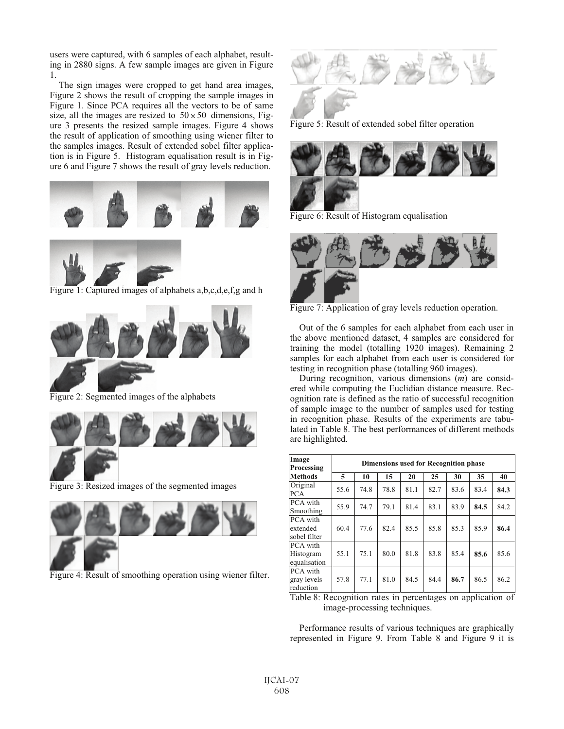users were captured, with 6 samples of each alphabet, resulting in 2880 signs. A few sample images are given in Figure 1.

The sign images were cropped to get hand area images, Figure 2 shows the result of cropping the sample images in Figure 1. Since PCA requires all the vectors to be of same size, all the images are resized to  $50 \times 50$  dimensions, Figure 3 presents the resized sample images. Figure 4 shows the result of application of smoothing using wiener filter to the samples images. Result of extended sobel filter application is in Figure 5. Histogram equalisation result is in Figure 6 and Figure 7 shows the result of gray levels reduction.





Figure 1: Captured images of alphabets a,b,c,d,e,f,g and h



Figure 2: Segmented images of the alphabets



Figure 3: Resized images of the segmented images



Figure 4: Result of smoothing operation using wiener filter.



Figure 5: Result of extended sobel filter operation



Figure 6: Result of Histogram equalisation



Figure 7: Application of gray levels reduction operation.

Out of the 6 samples for each alphabet from each user in the above mentioned dataset, 4 samples are considered for training the model (totalling 1920 images). Remaining 2 samples for each alphabet from each user is considered for testing in recognition phase (totalling 960 images).

During recognition, various dimensions (*m*) are considered while computing the Euclidian distance measure. Recognition rate is defined as the ratio of successful recognition of sample image to the number of samples used for testing in recognition phase. Results of the experiments are tabulated in Table 8. The best performances of different methods are highlighted.

| Image<br>Processing                   | <b>Dimensions used for Recognition phase</b> |      |      |      |      |      |      |      |  |
|---------------------------------------|----------------------------------------------|------|------|------|------|------|------|------|--|
| <b>Methods</b>                        | 5                                            | 10   | 15   | 20   | 25   | 30   | 35   | 40   |  |
| Original<br><b>PCA</b>                | 55.6                                         | 74.8 | 78.8 | 81.1 | 82.7 | 83.6 | 83.4 | 84.3 |  |
| PCA with<br>Smoothing                 | 55.9                                         | 74.7 | 79.1 | 81.4 | 83.1 | 83.9 | 84.5 | 84.2 |  |
| PCA with<br>extended<br>sobel filter  | 60.4                                         | 77.6 | 82.4 | 85.5 | 85.8 | 85.3 | 85.9 | 86.4 |  |
| PCA with<br>Histogram<br>equalisation | 55.1                                         | 75.1 | 80.0 | 81.8 | 83.8 | 85.4 | 85.6 | 85.6 |  |
| PCA with<br>gray levels<br>reduction  | 57.8                                         | 77.1 | 81.0 | 84.5 | 84.4 | 86.7 | 86.5 | 86.2 |  |

Table 8: Recognition rates in percentages on application of image-processing techniques.

Performance results of various techniques are graphically represented in Figure 9. From Table 8 and Figure 9 it is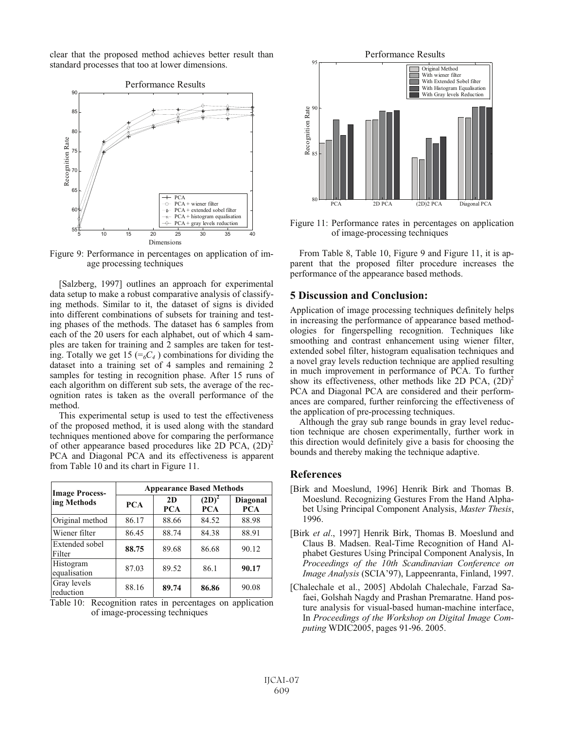clear that the proposed method achieves better result than standard processes that too at lower dimensions.



Figure 9: Performance in percentages on application of image processing techniques

[Salzberg, 1997] outlines an approach for experimental data setup to make a robust comparative analysis of classifying methods. Similar to it, the dataset of signs is divided into different combinations of subsets for training and testing phases of the methods. The dataset has 6 samples from each of the 20 users for each alphabet, out of which 4 samples are taken for training and 2 samples are taken for testing. Totally we get 15 ( $\epsilon_{6}C_{4}$ ) combinations for dividing the dataset into a training set of 4 samples and remaining 2 samples for testing in recognition phase. After 15 runs of each algorithm on different sub sets, the average of the recognition rates is taken as the overall performance of the method.

This experimental setup is used to test the effectiveness of the proposed method, it is used along with the standard techniques mentioned above for comparing the performance of other appearance based procedures like 2D PCA,  $(2D)^2$ PCA and Diagonal PCA and its effectiveness is apparent from Table 10 and its chart in Figure 11.

| <b>Image Process-</b>     | <b>Appearance Based Methods</b> |                  |                        |                               |  |  |  |  |
|---------------------------|---------------------------------|------------------|------------------------|-------------------------------|--|--|--|--|
| ing Methods               | <b>PCA</b>                      | 2D<br><b>PCA</b> | $(2D)^2$<br><b>PCA</b> | <b>Diagonal</b><br><b>PCA</b> |  |  |  |  |
| Original method           | 86.17                           | 88.66            | 84.52                  | 88.98                         |  |  |  |  |
| Wiener filter             | 86.45                           | 88.74            | 84.38                  | 88.91                         |  |  |  |  |
| Extended sobel<br>Filter  | 88.75                           | 89.68            | 86.68                  | 90.12                         |  |  |  |  |
| Histogram<br>equalisation | 87.03                           | 89.52            | 86.1                   | 90.17                         |  |  |  |  |
| Gray levels<br>reduction  | 88.16                           | 89.74            | 86.86                  | 90.08                         |  |  |  |  |

Table 10: Recognition rates in percentages on application of image-processing techniques



Figure 11: Performance rates in percentages on application of image-processing techniques

From Table 8, Table 10, Figure 9 and Figure 11, it is apparent that the proposed filter procedure increases the performance of the appearance based methods.

# **5 Discussion and Conclusion:**

Application of image processing techniques definitely helps in increasing the performance of appearance based methodologies for fingerspelling recognition. Techniques like smoothing and contrast enhancement using wiener filter, extended sobel filter, histogram equalisation techniques and a novel gray levels reduction technique are applied resulting in much improvement in performance of PCA. To further show its effectiveness, other methods like 2D PCA,  $(2D)^2$ PCA and Diagonal PCA are considered and their performances are compared, further reinforcing the effectiveness of the application of pre-processing techniques.

Although the gray sub range bounds in gray level reduction technique are chosen experimentally, further work in this direction would definitely give a basis for choosing the bounds and thereby making the technique adaptive.

#### **References**

- [Birk and Moeslund, 1996] Henrik Birk and Thomas B. Moeslund. Recognizing Gestures From the Hand Alphabet Using Principal Component Analysis, *Master Thesis*, 1996.
- [Birk *et al*., 1997] Henrik Birk, Thomas B. Moeslund and Claus B. Madsen. Real-Time Recognition of Hand Alphabet Gestures Using Principal Component Analysis, In *Proceedings of the 10th Scandinavian Conference on Image Analysis* (SCIA'97), Lappeenranta, Finland, 1997.
- [Chalechale et al., 2005] Abdolah Chalechale, Farzad Safaei, Golshah Nagdy and Prashan Premaratne. Hand posture analysis for visual-based human-machine interface, In *Proceedings of the Workshop on Digital Image Computing* WDIC2005, pages 91-96. 2005.